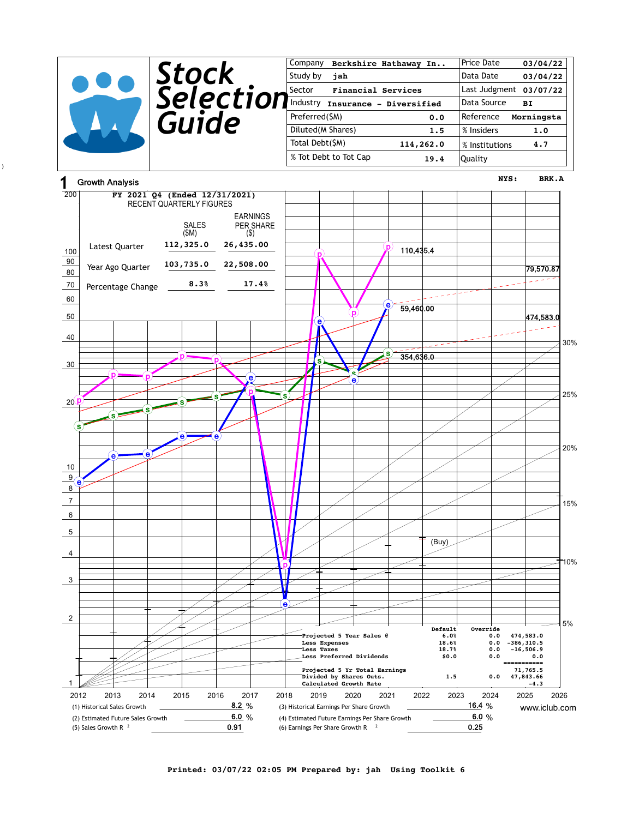|                 |                         | Company                             | Berkshire Hathaway In   | Price Date             | 03/04/22   |
|-----------------|-------------------------|-------------------------------------|-------------------------|------------------------|------------|
|                 | Stock                   | Study by<br>jah                     |                         | Data Date              | 03/04/22   |
|                 |                         | <b>Financial Services</b><br>Sector |                         | Last Judgment 03/07/22 |            |
|                 | <i><b>Selection</b></i> | Industry                            | Insurance - Diversified | Data Source            | BI         |
|                 | Guide                   | Preferred(\$M)                      | 0.0                     | Reference              | Morningsta |
|                 |                         | Diluted(M Shares)                   | 1.5                     | % Insiders             | 1.0        |
|                 |                         | Total Debt(\$M)                     | 114,262.0               | % Institutions         | 4.7        |
|                 |                         | % Tot Debt to Tot Cap               | 19.4                    | Quality                |            |
| Crowth Analysis |                         |                                     |                         | NYS:                   | BRK.A      |